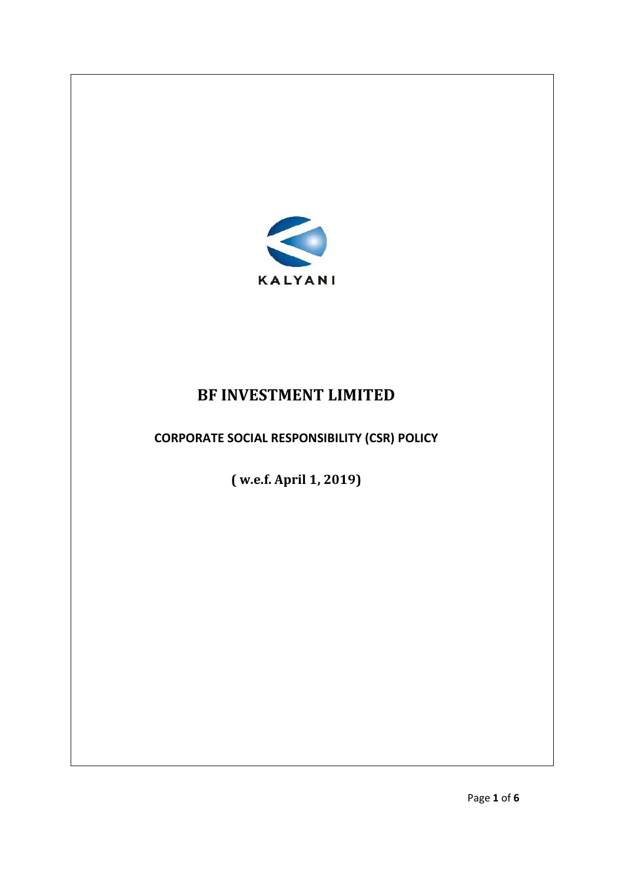

# **BF INVESTMENT LIMITED**

**CORPORATE SOCIAL RESPONSIBILITY (CSR) POLICY**

**( w.e.f. April 1, 2019)**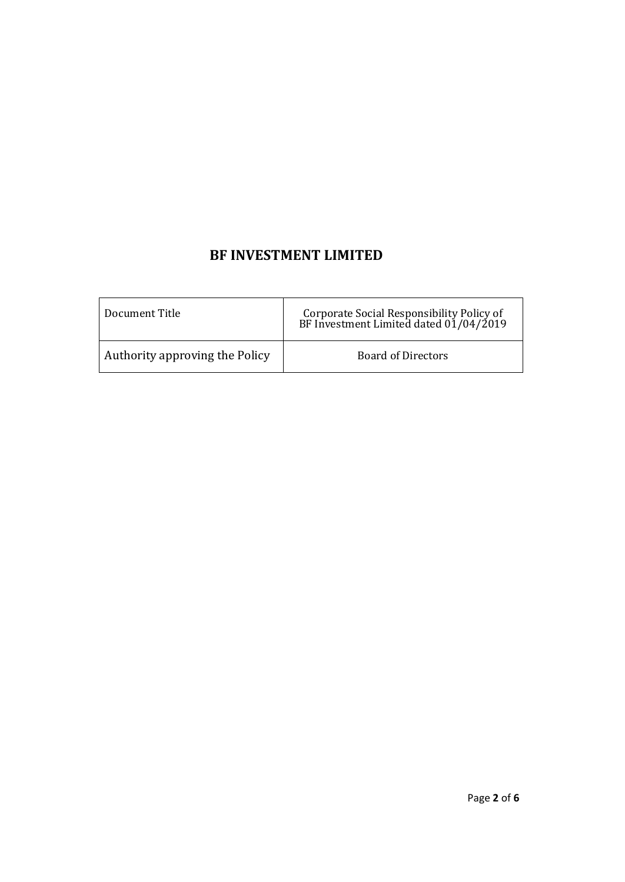## **BF INVESTMENT LIMITED**

| Document Title                 | Corporate Social Responsibility Policy of<br>BF Investment Limited dated 01/04/2019 |
|--------------------------------|-------------------------------------------------------------------------------------|
| Authority approving the Policy | <b>Board of Directors</b>                                                           |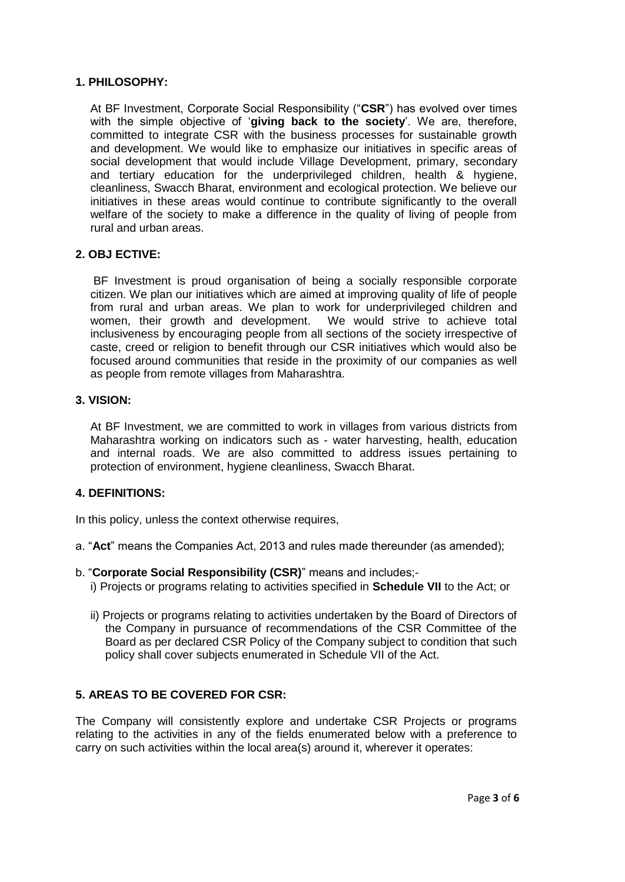#### **1. PHILOSOPHY:**

At BF Investment, Corporate Social Responsibility ("**CSR**") has evolved over times with the simple objective of '**giving back to the society**'. We are, therefore, committed to integrate CSR with the business processes for sustainable growth and development. We would like to emphasize our initiatives in specific areas of social development that would include Village Development, primary, secondary and tertiary education for the underprivileged children, health & hygiene, cleanliness, Swacch Bharat, environment and ecological protection. We believe our initiatives in these areas would continue to contribute significantly to the overall welfare of the society to make a difference in the quality of living of people from rural and urban areas.

#### **2. OBJ ECTIVE:**

BF Investment is proud organisation of being a socially responsible corporate citizen. We plan our initiatives which are aimed at improving quality of life of people from rural and urban areas. We plan to work for underprivileged children and women, their growth and development. We would strive to achieve total inclusiveness by encouraging people from all sections of the society irrespective of caste, creed or religion to benefit through our CSR initiatives which would also be focused around communities that reside in the proximity of our companies as well as people from remote villages from Maharashtra.

#### **3. VISION:**

At BF Investment, we are committed to work in villages from various districts from Maharashtra working on indicators such as - water harvesting, health, education and internal roads. We are also committed to address issues pertaining to protection of environment, hygiene cleanliness, Swacch Bharat.

#### **4. DEFINITIONS:**

In this policy, unless the context otherwise requires,

- a. "**Act**" means the Companies Act, 2013 and rules made thereunder (as amended);
- b. "**Corporate Social Responsibility (CSR)**" means and includes;
	- i) Projects or programs relating to activities specified in **Schedule VII** to the Act; or
	- ii) Projects or programs relating to activities undertaken by the Board of Directors of the Company in pursuance of recommendations of the CSR Committee of the Board as per declared CSR Policy of the Company subject to condition that such policy shall cover subjects enumerated in Schedule VII of the Act.

#### **5. AREAS TO BE COVERED FOR CSR:**

The Company will consistently explore and undertake CSR Projects or programs relating to the activities in any of the fields enumerated below with a preference to carry on such activities within the local area(s) around it, wherever it operates: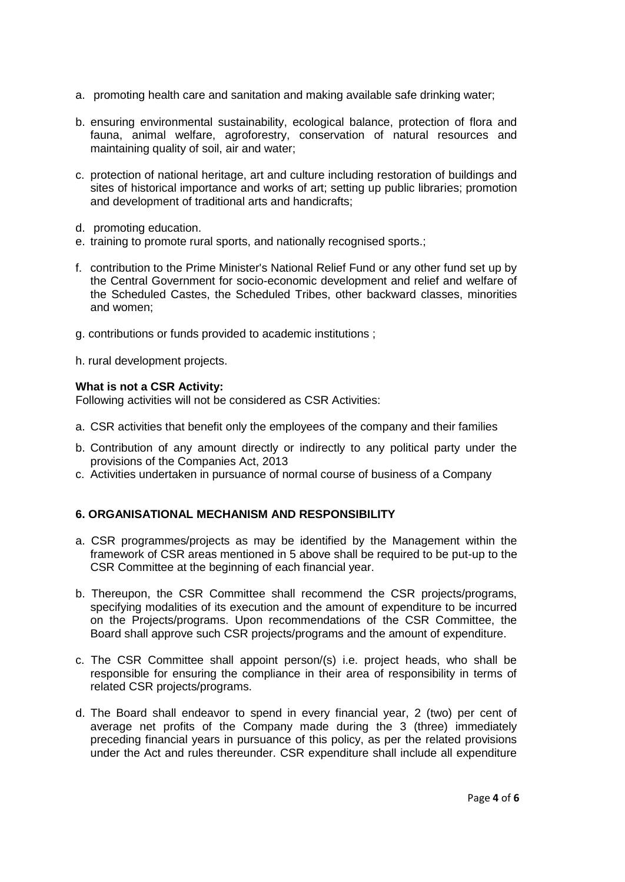- a. promoting health care and sanitation and making available safe drinking water;
- b. ensuring environmental sustainability, ecological balance, protection of flora and fauna, animal welfare, agroforestry, conservation of natural resources and maintaining quality of soil, air and water;
- c. protection of national heritage, art and culture including restoration of buildings and sites of historical importance and works of art; setting up public libraries; promotion and development of traditional arts and handicrafts;
- d. promoting education.
- e. training to promote rural sports, and nationally recognised sports.;
- f. contribution to the Prime Minister's National Relief Fund or any other fund set up by the Central Government for socio-economic development and relief and welfare of the Scheduled Castes, the Scheduled Tribes, other backward classes, minorities and women;
- g. contributions or funds provided to academic institutions ;
- h. rural development projects.

#### **What is not a CSR Activity:**

Following activities will not be considered as CSR Activities:

- a. CSR activities that benefit only the employees of the company and their families
- b. Contribution of any amount directly or indirectly to any political party under the provisions of the Companies Act, 2013
- c. Activities undertaken in pursuance of normal course of business of a Company

### **6. ORGANISATIONAL MECHANISM AND RESPONSIBILITY**

- a. CSR programmes/projects as may be identified by the Management within the framework of CSR areas mentioned in 5 above shall be required to be put-up to the CSR Committee at the beginning of each financial year.
- b. Thereupon, the CSR Committee shall recommend the CSR projects/programs, specifying modalities of its execution and the amount of expenditure to be incurred on the Projects/programs. Upon recommendations of the CSR Committee, the Board shall approve such CSR projects/programs and the amount of expenditure.
- c. The CSR Committee shall appoint person/(s) i.e. project heads, who shall be responsible for ensuring the compliance in their area of responsibility in terms of related CSR projects/programs.
- d. The Board shall endeavor to spend in every financial year, 2 (two) per cent of average net profits of the Company made during the 3 (three) immediately preceding financial years in pursuance of this policy, as per the related provisions under the Act and rules thereunder. CSR expenditure shall include all expenditure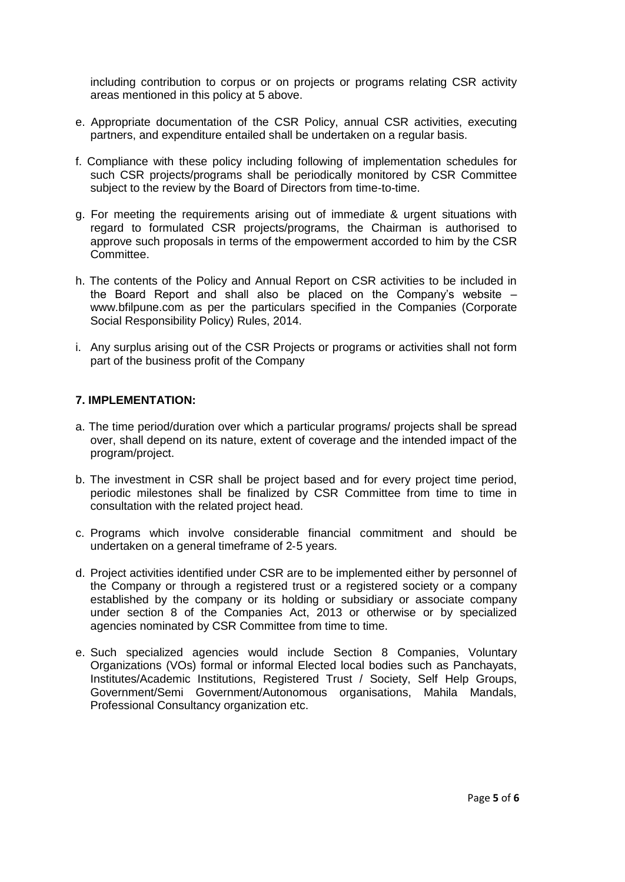including contribution to corpus or on projects or programs relating CSR activity areas mentioned in this policy at 5 above.

- e. Appropriate documentation of the CSR Policy, annual CSR activities, executing partners, and expenditure entailed shall be undertaken on a regular basis.
- f. Compliance with these policy including following of implementation schedules for such CSR projects/programs shall be periodically monitored by CSR Committee subject to the review by the Board of Directors from time-to-time.
- g. For meeting the requirements arising out of immediate & urgent situations with regard to formulated CSR projects/programs, the Chairman is authorised to approve such proposals in terms of the empowerment accorded to him by the CSR Committee.
- h. The contents of the Policy and Annual Report on CSR activities to be included in the Board Report and shall also be placed on the Company's website – www.bfilpune.com as per the particulars specified in the Companies (Corporate Social Responsibility Policy) Rules, 2014.
- i. Any surplus arising out of the CSR Projects or programs or activities shall not form part of the business profit of the Company

#### **7. IMPLEMENTATION:**

- a. The time period/duration over which a particular programs/ projects shall be spread over, shall depend on its nature, extent of coverage and the intended impact of the program/project.
- b. The investment in CSR shall be project based and for every project time period, periodic milestones shall be finalized by CSR Committee from time to time in consultation with the related project head.
- c. Programs which involve considerable financial commitment and should be undertaken on a general timeframe of 2‐5 years.
- d. Project activities identified under CSR are to be implemented either by personnel of the Company or through a registered trust or a registered society or a company established by the company or its holding or subsidiary or associate company under section 8 of the Companies Act, 2013 or otherwise or by specialized agencies nominated by CSR Committee from time to time.
- e. Such specialized agencies would include Section 8 Companies, Voluntary Organizations (VOs) formal or informal Elected local bodies such as Panchayats, Institutes/Academic Institutions, Registered Trust / Society, Self Help Groups, Government/Semi Government/Autonomous organisations, Mahila Mandals, Professional Consultancy organization etc.